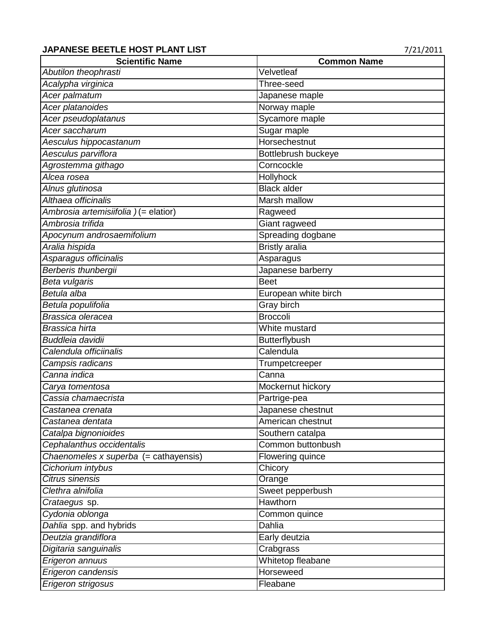## **JAPANESE BEETLE HOST PLANT LIST 1999 121/2011**

| <b>Scientific Name</b>                | <b>Common Name</b>    |
|---------------------------------------|-----------------------|
| Abutilon theophrasti                  | Velvetleaf            |
| Acalypha virginica                    | Three-seed            |
| Acer palmatum                         | Japanese maple        |
| Acer platanoides                      | Norway maple          |
| Acer pseudoplatanus                   | Sycamore maple        |
| Acer saccharum                        | Sugar maple           |
| Aesculus hippocastanum                | Horsechestnut         |
| Aesculus parviflora                   | Bottlebrush buckeye   |
| Agrostemma githago                    | Corncockle            |
| Alcea rosea                           | Hollyhock             |
| Alnus glutinosa                       | <b>Black alder</b>    |
| Althaea officinalis                   | Marsh mallow          |
| Ambrosia artemisiifolia) (= elatior)  | Ragweed               |
| Ambrosia trifida                      | Giant ragweed         |
| Apocynum androsaemifolium             | Spreading dogbane     |
| Aralia hispida                        | <b>Bristly aralia</b> |
| Asparagus officinalis                 | Asparagus             |
| Berberis thunbergii                   | Japanese barberry     |
| Beta vulgaris                         | <b>Beet</b>           |
| Betula alba                           | European white birch  |
| Betula populifolia                    | <b>Gray birch</b>     |
| Brassica oleracea                     | <b>Broccoli</b>       |
| Brassica hirta                        | White mustard         |
| Buddleia davidii                      | <b>Butterflybush</b>  |
| Calendula officiinalis                | Calendula             |
| Campsis radicans                      | Trumpetcreeper        |
| Canna indica                          | Canna                 |
| Carya tomentosa                       | Mockernut hickory     |
| Cassia chamaecrista                   | Partrige-pea          |
| Castanea crenata                      | Japanese chestnut     |
| Castanea dentata                      | American chestnut     |
| Catalpa bignonioides                  | Southern catalpa      |
| Cephalanthus occidentalis             | Common buttonbush     |
| Chaenomeles x superba (= cathayensis) | Flowering quince      |
| Cichorium intybus                     | Chicory               |
| Citrus sinensis                       | Orange                |
| Clethra alnifolia                     | Sweet pepperbush      |
| <i>Crataegus</i> sp.                  | Hawthorn              |
| Cydonia oblonga                       | Common quince         |
| Dahlia spp. and hybrids               | Dahlia                |
| Deutzia grandiflora                   | Early deutzia         |
| Digitaria sanguinalis                 | Crabgrass             |
| Erigeron annuus                       | Whitetop fleabane     |
| Erigeron candensis                    | Horseweed             |
| Erigeron strigosus                    | Fleabane              |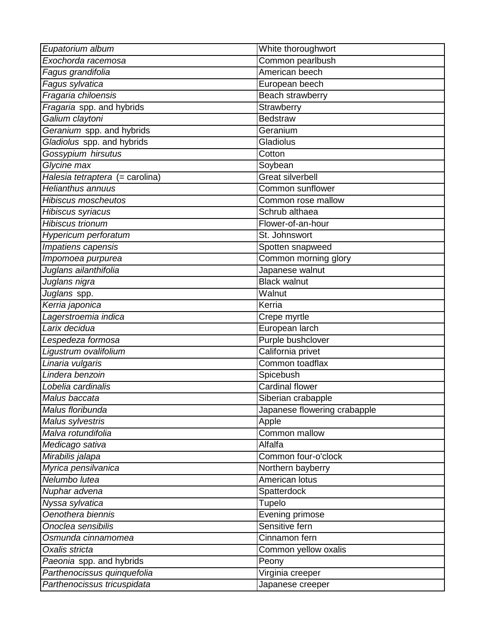| Eupatorium album                | White thoroughwort           |
|---------------------------------|------------------------------|
| Exochorda racemosa              | Common pearlbush             |
| Fagus grandifolia               | American beech               |
| Fagus sylvatica                 | European beech               |
| Fragaria chiloensis             | <b>Beach strawberry</b>      |
| Fragaria spp. and hybrids       | Strawberry                   |
| Galium claytoni                 | <b>Bedstraw</b>              |
| Geranium spp. and hybrids       | Geranium                     |
| Gladiolus spp. and hybrids      | Gladiolus                    |
| Gossypium hirsutus              | Cotton                       |
| Glycine max                     | Soybean                      |
| Halesia tetraptera (= carolina) | <b>Great silverbell</b>      |
| <b>Helianthus annuus</b>        | Common sunflower             |
| <b>Hibiscus moscheutos</b>      | Common rose mallow           |
| Hibiscus syriacus               | Schrub althaea               |
| <b>Hibiscus trionum</b>         | Flower-of-an-hour            |
| Hypericum perforatum            | St. Johnswort                |
| Impatiens capensis              | Spotten snapweed             |
| Impomoea purpurea               | Common morning glory         |
| Juglans ailanthifolia           | Japanese walnut              |
| Juglans nigra                   | <b>Black walnut</b>          |
| Juglans spp.                    | Walnut                       |
| Kerria japonica                 | Kerria                       |
| Lagerstroemia indica            | Crepe myrtle                 |
| Larix decidua                   | European larch               |
| Lespedeza formosa               | Purple bushclover            |
| Ligustrum ovalifolium           | California privet            |
| Linaria vulgaris                | Common toadflax              |
| Lindera benzoin                 | Spicebush                    |
| Lobelia cardinalis              | Cardinal flower              |
| Malus baccata                   | Siberian crabapple           |
| Malus floribunda                | Japanese flowering crabapple |
| Malus sylvestris                | Apple                        |
| Malva rotundifolia              | Common mallow                |
| Medicago sativa                 | Alfalfa                      |
| Mirabilis jalapa                | Common four-o'clock          |
| Myrica pensilvanica             | Northern bayberry            |
| Nelumbo lutea                   | American lotus               |
| Nuphar advena                   | Spatterdock                  |
| Nyssa sylvatica                 | Tupelo                       |
| Oenothera biennis               | <b>Evening primose</b>       |
| Onoclea sensibilis              | Sensitive fern               |
| Osmunda cinnamomea              | Cinnamon fern                |
| Oxalis stricta                  | Common yellow oxalis         |
| Paeonia spp. and hybrids        | Peony                        |
| Parthenocissus quinquefolia     | Virginia creeper             |
| Parthenocissus tricuspidata     | Japanese creeper             |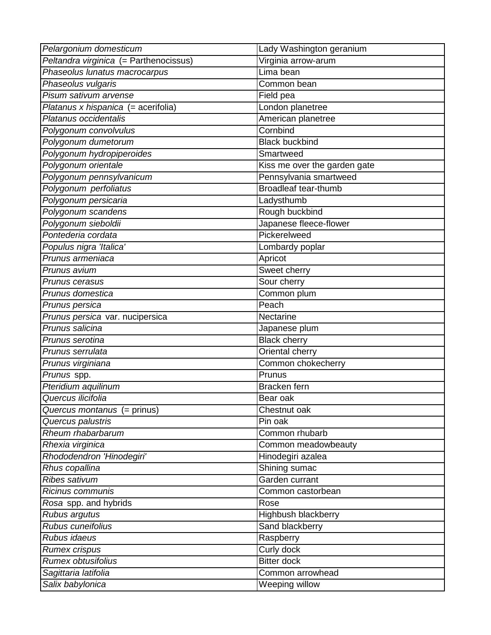| Pelargonium domesticum                 | Lady Washington geranium     |
|----------------------------------------|------------------------------|
| Peltandra virginica (= Parthenocissus) | Virginia arrow-arum          |
| Phaseolus lunatus macrocarpus          | Lima bean                    |
| Phaseolus vulgaris                     | Common bean                  |
| Pisum sativum arvense                  | Field pea                    |
| Platanus x hispanica (= acerifolia)    | London planetree             |
| Platanus occidentalis                  | American planetree           |
| Polygonum convolvulus                  | Cornbind                     |
| Polygonum dumetorum                    | <b>Black buckbind</b>        |
| Polygonum hydropiperoides              | Smartweed                    |
| Polygonum orientale                    | Kiss me over the garden gate |
| Polygonum pennsylvanicum               | Pennsylvania smartweed       |
| Polygonum perfoliatus                  | <b>Broadleaf tear-thumb</b>  |
| Polygonum persicaria                   | Ladysthumb                   |
| Polygonum scandens                     | Rough buckbind               |
| Polygonum sieboldii                    | Japanese fleece-flower       |
| Pontederia cordata                     | Pickerelweed                 |
| Populus nigra 'Italica'                | Lombardy poplar              |
| Prunus armeniaca                       | Apricot                      |
| Prunus avium                           | Sweet cherry                 |
| Prunus cerasus                         | Sour cherry                  |
| Prunus domestica                       | Common plum                  |
| Prunus persica                         | Peach                        |
| Prunus persica var. nucipersica        | Nectarine                    |
| Prunus salicina                        | Japanese plum                |
| Prunus serotina                        | <b>Black cherry</b>          |
| Prunus serrulata                       | Oriental cherry              |
| Prunus virginiana                      | Common chokecherry           |
| Prunus spp.                            | Prunus                       |
| Pteridium aquilinum                    | Bracken fern                 |
| Quercus ilicifolia                     | Bear oak                     |
| Quercus montanus (= prinus)            | Chestnut oak                 |
| Quercus palustris                      | Pin oak                      |
| Rheum rhabarbarum                      | Common rhubarb               |
| Rhexia virginica                       | Common meadowbeauty          |
| Rhododendron 'Hinodegiri'              | Hinodegiri azalea            |
| Rhus copallina                         | Shining sumac                |
| <b>Ribes sativum</b>                   | Garden currant               |
| Ricinus communis                       | Common castorbean            |
| Rosa spp. and hybrids                  | Rose                         |
| Rubus argutus                          | Highbush blackberry          |
| Rubus cuneifolius                      | <b>Sand blackberry</b>       |
| Rubus idaeus                           | Raspberry                    |
| <b>Rumex crispus</b>                   | Curly dock                   |
| <b>Rumex obtusifolius</b>              | <b>Bitter dock</b>           |
| Sagittaria latifolia                   | Common arrowhead             |
| Salix babylonica                       | Weeping willow               |